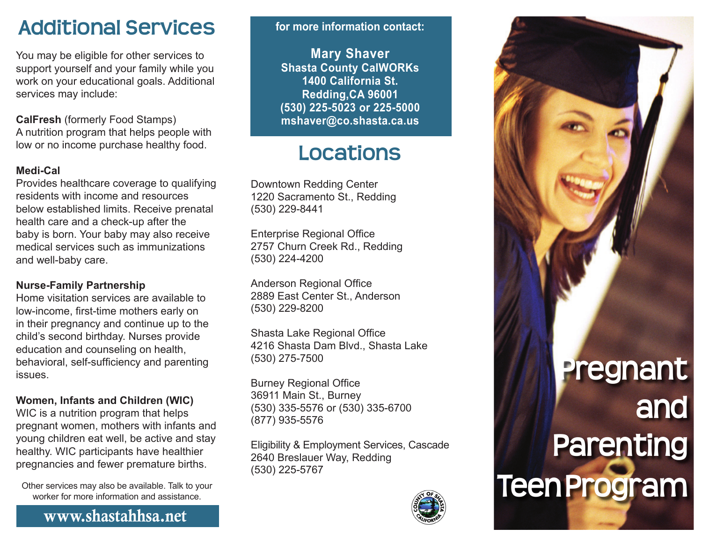## **Additional Services**

You may be eligible for other services to support yourself and your family while you work on your educational goals. Additional services may include:

**CalFresh** (formerly Food Stamps) A nutrition program that helps people with low or no income purchase healthy food.

#### **Medi-Cal**

Provides healthcare coverage to qualifying residents with income and resources below established limits. Receive prenatal health care and a check-up after the baby is born. Your baby may also receive medical services such as immunizations and well-baby care.

#### **Nurse-Family Partnership**

Home visitation services are available to low-income, first-time mothers early on in their pregnancy and continue up to the child's second birthday. Nurses provide education and counseling on health, behavioral, self-sufficiency and parenting issues.

#### **Women, Infants and Children (WIC)**

WIC is a nutrition program that helps pregnant women, mothers with infants and young children eat well, be active and stay healthy. WIC participants have healthier pregnancies and fewer premature births.

Other services may also be available. Talk to your worker for more information and assistance.

www.shastahhsa.net

**for more information contact:**

**Mary Shaver Shasta County CalWORKs 1400 California St. Redding,CA 96001 (530) 225-5023 or 225-5000 mshaver@co.shasta.ca.us**

# **Locations**

Downtown Redding Center 1220 Sacramento St., Redding (530) 229-8441

Enterprise Regional Office 2757 Churn Creek Rd., Redding (530) 224-4200

Anderson Regional Office 2889 East Center St., Anderson (530) 229-8200

Shasta Lake Regional Office 4216 Shasta Dam Blvd., Shasta Lake (530) 275-7500

Burney Regional Office 36911 Main St., Burney (530) 335-5576 or (530) 335-6700 (877) 935-5576

Eligibility & Employment Services, Cascade 2640 Breslauer Way, Redding (530) 225-5767